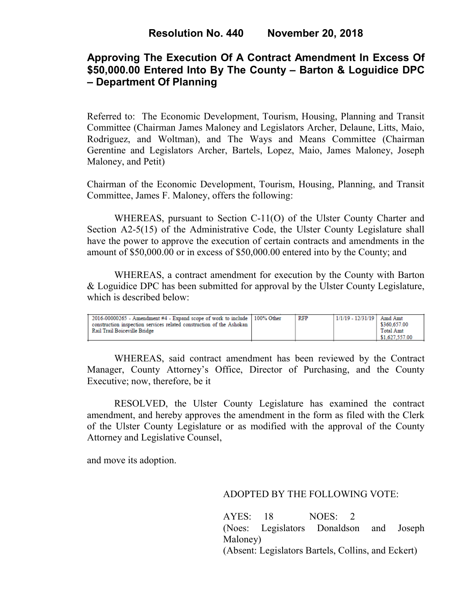# **Approving The Execution Of A Contract Amendment In Excess Of \$50,000.00 Entered Into By The County – Barton & Loguidice DPC – Department Of Planning**

Referred to: The Economic Development, Tourism, Housing, Planning and Transit Committee (Chairman James Maloney and Legislators Archer, Delaune, Litts, Maio, Rodriguez, and Woltman), and The Ways and Means Committee (Chairman Gerentine and Legislators Archer, Bartels, Lopez, Maio, James Maloney, Joseph Maloney, and Petit)

Chairman of the Economic Development, Tourism, Housing, Planning, and Transit Committee, James F. Maloney, offers the following:

WHEREAS, pursuant to Section C-11(O) of the Ulster County Charter and Section A2-5(15) of the Administrative Code, the Ulster County Legislature shall have the power to approve the execution of certain contracts and amendments in the amount of \$50,000.00 or in excess of \$50,000.00 entered into by the County; and

WHEREAS, a contract amendment for execution by the County with Barton & Loguidice DPC has been submitted for approval by the Ulster County Legislature, which is described below:

| $2016-00000265$ - Amendment #4 - Expand scope of work to include 100% Other<br>construction inspection services related construction of the Ashokan<br>Rail Trail Boiceville Bridge |  | RFP | 1/1/19 - 12/31/19 | Amd Amt<br>\$360,657.00<br><b>Total Amt</b><br>\$1,627,557.00 |
|-------------------------------------------------------------------------------------------------------------------------------------------------------------------------------------|--|-----|-------------------|---------------------------------------------------------------|
|-------------------------------------------------------------------------------------------------------------------------------------------------------------------------------------|--|-----|-------------------|---------------------------------------------------------------|

WHEREAS, said contract amendment has been reviewed by the Contract Manager, County Attorney's Office, Director of Purchasing, and the County Executive; now, therefore, be it

RESOLVED, the Ulster County Legislature has examined the contract amendment, and hereby approves the amendment in the form as filed with the Clerk of the Ulster County Legislature or as modified with the approval of the County Attorney and Legislative Counsel,

and move its adoption.

### ADOPTED BY THE FOLLOWING VOTE:

AYES: 18 NOES: 2 (Noes: Legislators Donaldson and Joseph Maloney) (Absent: Legislators Bartels, Collins, and Eckert)